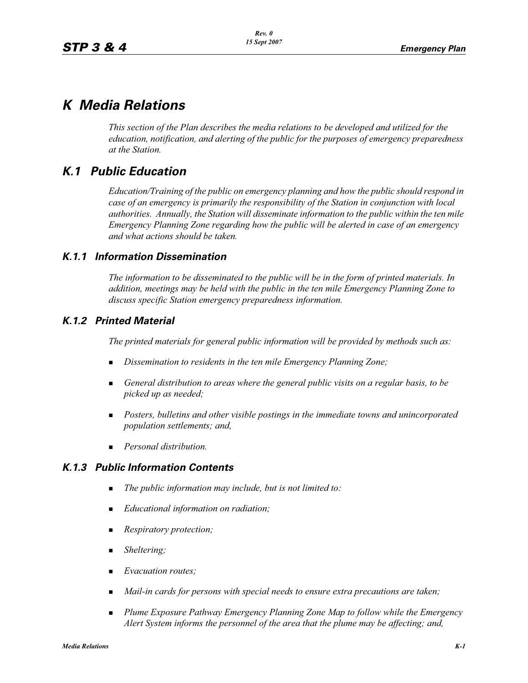# *K Media Relations*

*This section of the Plan describes the media relations to be developed and utilized for the education, notification, and alerting of the public for the purposes of emergency preparedness at the Station.*

## *K.1 Public Education*

*Education/Training of the public on emergency planning and how the public should respond in case of an emergency is primarily the responsibility of the Station in conjunction with local authorities. Annually, the Station will disseminate information to the public within the ten mile Emergency Planning Zone regarding how the public will be alerted in case of an emergency and what actions should be taken.* 

### *K.1.1 Information Dissemination*

*The information to be disseminated to the public will be in the form of printed materials. In addition, meetings may be held with the public in the ten mile Emergency Planning Zone to discuss specific Station emergency preparedness information.* 

### *K.1.2 Printed Material*

*The printed materials for general public information will be provided by methods such as:* 

- -*Dissemination to residents in the ten mile Emergency Planning Zone;*
- **-** General distribution to areas where the general public visits on a regular basis, to be *picked up as needed;*
- **Posters, bulletins and other visible postings in the immediate towns and unincorporated** *population settlements; and,*
- -*Personal distribution.*

### *K.1.3 Public Information Contents*

- -*The public information may include, but is not limited to:*
- -*Educational information on radiation;*
- -*Respiratory protection;*
- -*Sheltering;*
- -*Evacuation routes;*
- -*Mail-in cards for persons with special needs to ensure extra precautions are taken;*
- - *Plume Exposure Pathway Emergency Planning Zone Map to follow while the Emergency Alert System informs the personnel of the area that the plume may be affecting; and,*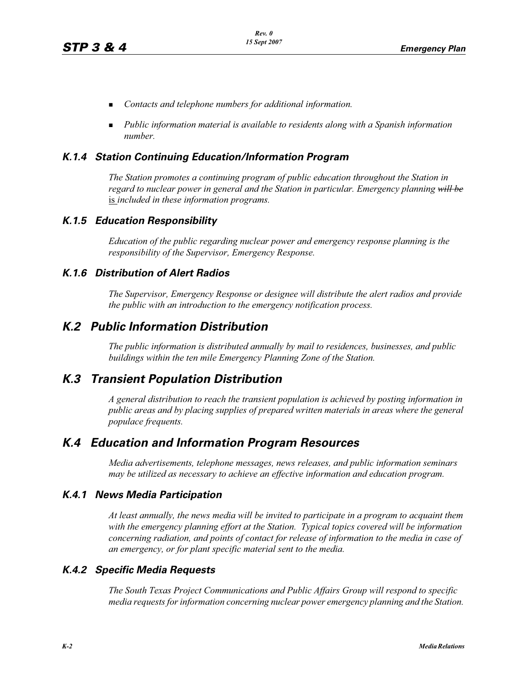- -*Contacts and telephone numbers for additional information.*
- **•** Public information material is available to residents along with a Spanish information *number.*

#### *K.1.4 Station Continuing Education/Information Program*

*The Station promotes a continuing program of public education throughout the Station in regard to nuclear power in general and the Station in particular. Emergency planning will be* is *included in these information programs.* 

#### *K.1.5 Education Responsibility*

*Education of the public regarding nuclear power and emergency response planning is the responsibility of the Supervisor, Emergency Response.* 

#### *K.1.6 Distribution of Alert Radios*

*The Supervisor, Emergency Response or designee will distribute the alert radios and provide the public with an introduction to the emergency notification process.* 

### *K.2 Public Information Distribution*

*The public information is distributed annually by mail to residences, businesses, and public buildings within the ten mile Emergency Planning Zone of the Station.*

### *K.3 Transient Population Distribution*

*A general distribution to reach the transient population is achieved by posting information in public areas and by placing supplies of prepared written materials in areas where the general populace frequents.* 

### *K.4 Education and Information Program Resources*

*Media advertisements, telephone messages, news releases, and public information seminars may be utilized as necessary to achieve an effective information and education program.* 

#### *K.4.1 News Media Participation*

*At least annually, the news media will be invited to participate in a program to acquaint them with the emergency planning effort at the Station. Typical topics covered will be information concerning radiation, and points of contact for release of information to the media in case of an emergency, or for plant specific material sent to the media.*

#### *K.4.2 Specific Media Requests*

*The South Texas Project Communications and Public Affairs Group will respond to specific media requests for information concerning nuclear power emergency planning and the Station.*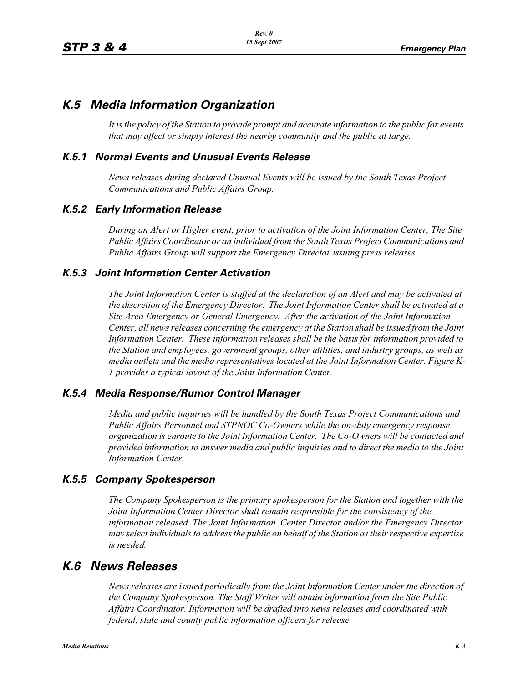## *K.5 Media Information Organization*

*It is the policy of the Station to provide prompt and accurate information to the public for events that may affect or simply interest the nearby community and the public at large.* 

#### *K.5.1 Normal Events and Unusual Events Release*

*News releases during declared Unusual Events will be issued by the South Texas Project Communications and Public Affairs Group.* 

#### *K.5.2 Early Information Release*

*During an Alert or Higher event, prior to activation of the Joint Information Center, The Site Public Affairs Coordinator or an individual from the South Texas Project Communications and Public Affairs Group will support the Emergency Director issuing press releases.* 

#### *K.5.3 Joint Information Center Activation*

*The Joint Information Center is staffed at the declaration of an Alert and may be activated at the discretion of the Emergency Director. The Joint Information Center shall be activated at a Site Area Emergency or General Emergency. After the activation of the Joint Information Center, all news releases concerning the emergency at the Station shall be issued from the Joint Information Center. These information releases shall be the basis for information provided to the Station and employees, government groups, other utilities, and industry groups, as well as media outlets and the media representatives located at the Joint Information Center. Figure K-1 provides a typical layout of the Joint Information Center.* 

#### *K.5.4 Media Response/Rumor Control Manager*

*Media and public inquiries will be handled by the South Texas Project Communications and Public Affairs Personnel and STPNOC Co-Owners while the on-duty emergency response organization is enroute to the Joint Information Center. The Co-Owners will be contacted and provided information to answer media and public inquiries and to direct the media to the Joint Information Center.*

#### *K.5.5 Company Spokesperson*

*The Company Spokesperson is the primary spokesperson for the Station and together with the Joint Information Center Director shall remain responsible for the consistency of the information released. The Joint Information Center Director and/or the Emergency Director may select individuals to address the public on behalf of the Station as their respective expertise is needed.* 

## *K.6 News Releases*

*News releases are issued periodically from the Joint Information Center under the direction of the Company Spokesperson. The Staff Writer will obtain information from the Site Public Affairs Coordinator. Information will be drafted into news releases and coordinated with federal, state and county public information officers for release.*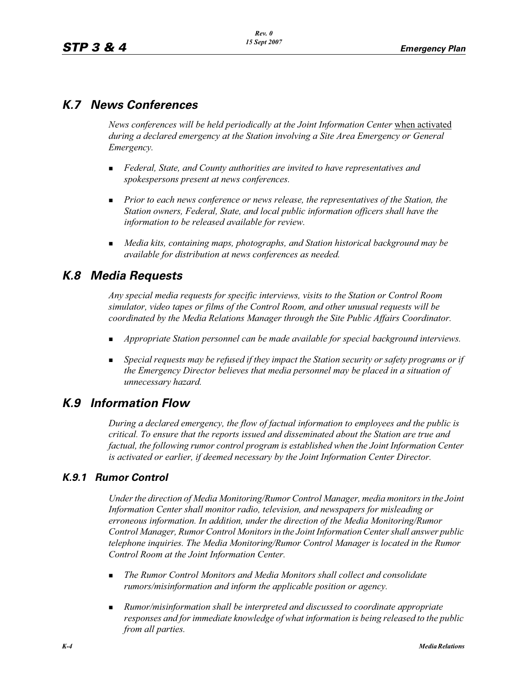## *K.7 News Conferences*

*News conferences will be held periodically at the Joint Information Center* when activated *during a declared emergency at the Station involving a Site Area Emergency or General Emergency.* 

- - *Federal, State, and County authorities are invited to have representatives and spokespersons present at news conferences.*
- **Prior to each news conference or news release, the representatives of the Station, the** *Station owners, Federal, State, and local public information officers shall have the information to be released available for review.*
- **Media kits, containing maps, photographs, and Station historical background may be** *available for distribution at news conferences as needed.*

## *K.8 Media Requests*

*Any special media requests for specific interviews, visits to the Station or Control Room simulator, video tapes or films of the Control Room, and other unusual requests will be coordinated by the Media Relations Manager through the Site Public Affairs Coordinator.* 

- -*Appropriate Station personnel can be made available for special background interviews.*
- - *Special requests may be refused if they impact the Station security or safety programs or if the Emergency Director believes that media personnel may be placed in a situation of unnecessary hazard.*

## *K.9 Information Flow*

*During a declared emergency, the flow of factual information to employees and the public is critical. To ensure that the reports issued and disseminated about the Station are true and factual, the following rumor control program is established when the Joint Information Center is activated or earlier, if deemed necessary by the Joint Information Center Director.* 

### *K.9.1 Rumor Control*

*Under the direction of Media Monitoring/Rumor Control Manager, media monitors in the Joint Information Center shall monitor radio, television, and newspapers for misleading or erroneous information. In addition, under the direction of the Media Monitoring/Rumor Control Manager, Rumor Control Monitors in the Joint Information Center shall answer public telephone inquiries. The Media Monitoring/Rumor Control Manager is located in the Rumor Control Room at the Joint Information Center.* 

- - *The Rumor Control Monitors and Media Monitors shall collect and consolidate rumors/misinformation and inform the applicable position or agency.*
- - *Rumor/misinformation shall be interpreted and discussed to coordinate appropriate responses and for immediate knowledge of what information is being released to the public from all parties.*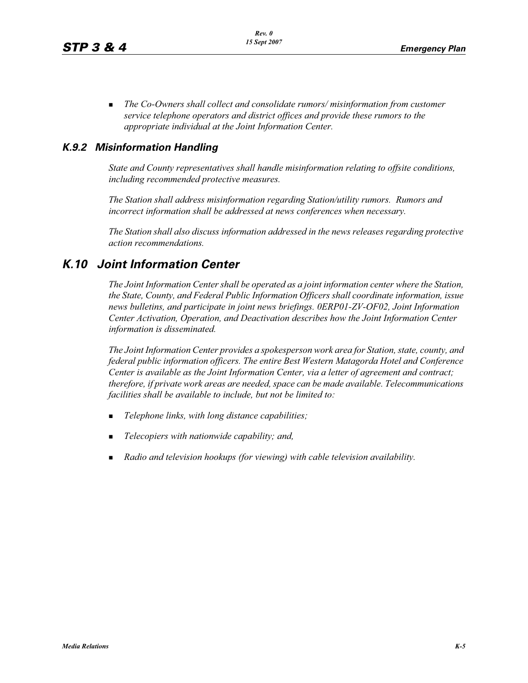- *The Co-Owners shall collect and consolidate rumors/ misinformation from customer service telephone operators and district offices and provide these rumors to the appropriate individual at the Joint Information Center.*

### *K.9.2 Misinformation Handling*

*State and County representatives shall handle misinformation relating to offsite conditions, including recommended protective measures.* 

*The Station shall address misinformation regarding Station/utility rumors. Rumors and incorrect information shall be addressed at news conferences when necessary.* 

*The Station shall also discuss information addressed in the news releases regarding protective action recommendations.* 

## *K.10 Joint Information Center*

*The Joint Information Center shall be operated as a joint information center where the Station, the State, County, and Federal Public Information Officers shall coordinate information, issue news bulletins, and participate in joint news briefings. 0ERP01-ZV-OF02, Joint Information Center Activation, Operation, and Deactivation describes how the Joint Information Center information is disseminated.*

*The Joint Information Center provides a spokesperson work area for Station, state, county, and federal public information officers. The entire Best Western Matagorda Hotel and Conference Center is available as the Joint Information Center, via a letter of agreement and contract; therefore, if private work areas are needed, space can be made available. Telecommunications facilities shall be available to include, but not be limited to:* 

- -*Telephone links, with long distance capabilities;*
- -*Telecopiers with nationwide capability; and,*
- -*Radio and television hookups (for viewing) with cable television availability.*